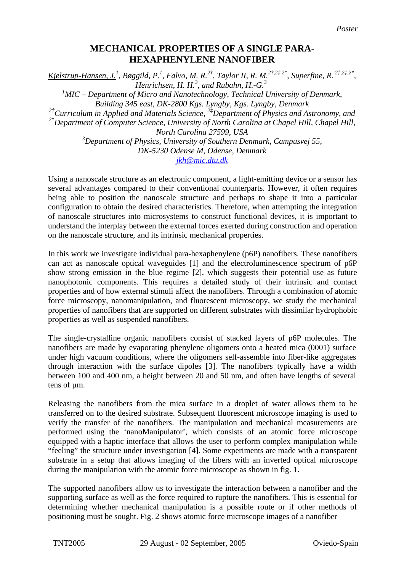## **MECHANICAL PROPERTIES OF A SINGLE PARA-HEXAPHENYLENE NANOFIBER**

Kjelstrup-Hansen, J.<sup>1</sup>, Bøggild, P.<sup>1</sup>, Falvo, M. R.<sup>2†</sup>, Taylor II, R. M.<sup>2†,2‡,2\*</sup>, Superfine, R. <sup>2†,2‡,2\*</sup>, *Henrichsen, H. H.<sup>3</sup> , and Rubahn, H.-G.3*

<sup>1</sup> MIC – Department of Micro and Nanotechnology, Technical University of Denmark, *Building 345 east, DK-2800 Kgs. Lyngby, Kgs. Lyngby, Denmark 2†Curriculum in Applied and Materials Science, 2‡Department of Physics and Astronomy, and* 

*2\*Department of Computer Science, University of North Carolina at Chapel Hill, Chapel Hill, North Carolina 27599, USA* 

> *3 Department of Physics, University of Southern Denmark, Campusvej 55, DK-5230 Odense M, Odense, Denmark [jkh@mic.dtu.dk](mailto:jkh@mic.dtu.dk)*

Using a nanoscale structure as an electronic component, a light-emitting device or a sensor has several advantages compared to their conventional counterparts. However, it often requires being able to position the nanoscale structure and perhaps to shape it into a particular configuration to obtain the desired characteristics. Therefore, when attempting the integration of nanoscale structures into microsystems to construct functional devices, it is important to understand the interplay between the external forces exerted during construction and operation on the nanoscale structure, and its intrinsic mechanical properties.

In this work we investigate individual para-hexaphenylene (p6P) nanofibers. These nanofibers can act as nanoscale optical waveguides [1] and the electroluminescence spectrum of p6P show strong emission in the blue regime [2], which suggests their potential use as future nanophotonic components. This requires a detailed study of their intrinsic and contact properties and of how external stimuli affect the nanofibers. Through a combination of atomic force microscopy, nanomanipulation, and fluorescent microscopy, we study the mechanical properties of nanofibers that are supported on different substrates with dissimilar hydrophobic properties as well as suspended nanofibers.

The single-crystalline organic nanofibers consist of stacked layers of p6P molecules. The nanofibers are made by evaporating phenylene oligomers onto a heated mica (0001) surface under high vacuum conditions, where the oligomers self-assemble into fiber-like aggregates through interaction with the surface dipoles [3]. The nanofibers typically have a width between 100 and 400 nm, a height between 20 and 50 nm, and often have lengths of several tens of um.

Releasing the nanofibers from the mica surface in a droplet of water allows them to be transferred on to the desired substrate. Subsequent fluorescent microscope imaging is used to verify the transfer of the nanofibers. The manipulation and mechanical measurements are performed using the 'nanoManipulator', which consists of an atomic force microscope equipped with a haptic interface that allows the user to perform complex manipulation while "feeling" the structure under investigation [4]. Some experiments are made with a transparent substrate in a setup that allows imaging of the fibers with an inverted optical microscope during the manipulation with the atomic force microscope as shown in fig. 1.

The supported nanofibers allow us to investigate the interaction between a nanofiber and the supporting surface as well as the force required to rupture the nanofibers. This is essential for determining whether mechanical manipulation is a possible route or if other methods of positioning must be sought. Fig. 2 shows atomic force microscope images of a nanofiber